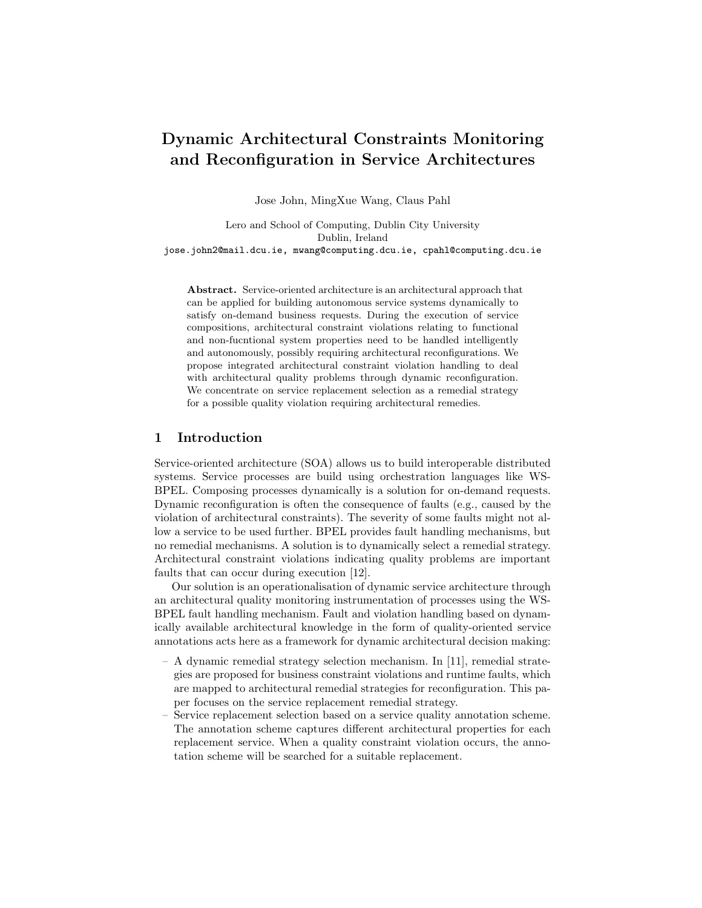# Dynamic Architectural Constraints Monitoring and Reconfiguration in Service Architectures

Jose John, MingXue Wang, Claus Pahl

Lero and School of Computing, Dublin City University Dublin, Ireland jose.john2@mail.dcu.ie, mwang@computing.dcu.ie, cpahl@computing.dcu.ie

Abstract. Service-oriented architecture is an architectural approach that can be applied for building autonomous service systems dynamically to satisfy on-demand business requests. During the execution of service compositions, architectural constraint violations relating to functional and non-fucntional system properties need to be handled intelligently and autonomously, possibly requiring architectural reconfigurations. We propose integrated architectural constraint violation handling to deal with architectural quality problems through dynamic reconfiguration. We concentrate on service replacement selection as a remedial strategy for a possible quality violation requiring architectural remedies.

#### 1 Introduction

Service-oriented architecture (SOA) allows us to build interoperable distributed systems. Service processes are build using orchestration languages like WS-BPEL. Composing processes dynamically is a solution for on-demand requests. Dynamic reconfiguration is often the consequence of faults (e.g., caused by the violation of architectural constraints). The severity of some faults might not allow a service to be used further. BPEL provides fault handling mechanisms, but no remedial mechanisms. A solution is to dynamically select a remedial strategy. Architectural constraint violations indicating quality problems are important faults that can occur during execution [12].

Our solution is an operationalisation of dynamic service architecture through an architectural quality monitoring instrumentation of processes using the WS-BPEL fault handling mechanism. Fault and violation handling based on dynamically available architectural knowledge in the form of quality-oriented service annotations acts here as a framework for dynamic architectural decision making:

- A dynamic remedial strategy selection mechanism. In [11], remedial strategies are proposed for business constraint violations and runtime faults, which are mapped to architectural remedial strategies for reconfiguration. This paper focuses on the service replacement remedial strategy.
- Service replacement selection based on a service quality annotation scheme. The annotation scheme captures different architectural properties for each replacement service. When a quality constraint violation occurs, the annotation scheme will be searched for a suitable replacement.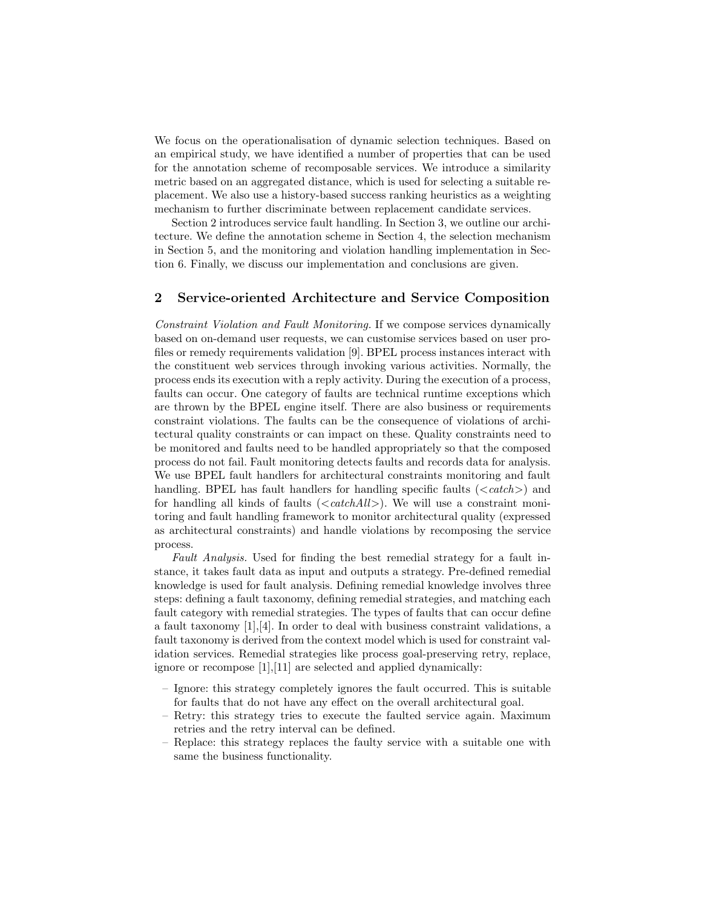We focus on the operationalisation of dynamic selection techniques. Based on an empirical study, we have identified a number of properties that can be used for the annotation scheme of recomposable services. We introduce a similarity metric based on an aggregated distance, which is used for selecting a suitable replacement. We also use a history-based success ranking heuristics as a weighting mechanism to further discriminate between replacement candidate services.

Section 2 introduces service fault handling. In Section 3, we outline our architecture. We define the annotation scheme in Section 4, the selection mechanism in Section 5, and the monitoring and violation handling implementation in Section 6. Finally, we discuss our implementation and conclusions are given.

#### 2 Service-oriented Architecture and Service Composition

Constraint Violation and Fault Monitoring. If we compose services dynamically based on on-demand user requests, we can customise services based on user profiles or remedy requirements validation [9]. BPEL process instances interact with the constituent web services through invoking various activities. Normally, the process ends its execution with a reply activity. During the execution of a process, faults can occur. One category of faults are technical runtime exceptions which are thrown by the BPEL engine itself. There are also business or requirements constraint violations. The faults can be the consequence of violations of architectural quality constraints or can impact on these. Quality constraints need to be monitored and faults need to be handled appropriately so that the composed process do not fail. Fault monitoring detects faults and records data for analysis. We use BPEL fault handlers for architectural constraints monitoring and fault handling. BPEL has fault handlers for handling specific faults  $( $\langle \cdot \text{catch} \rangle$ )$  and for handling all kinds of faults  $(*catchAll*)$ . We will use a constraint monitoring and fault handling framework to monitor architectural quality (expressed as architectural constraints) and handle violations by recomposing the service process.

Fault Analysis. Used for finding the best remedial strategy for a fault instance, it takes fault data as input and outputs a strategy. Pre-defined remedial knowledge is used for fault analysis. Defining remedial knowledge involves three steps: defining a fault taxonomy, defining remedial strategies, and matching each fault category with remedial strategies. The types of faults that can occur define a fault taxonomy  $[1], [4]$ . In order to deal with business constraint validations, a fault taxonomy is derived from the context model which is used for constraint validation services. Remedial strategies like process goal-preserving retry, replace, ignore or recompose [1],[11] are selected and applied dynamically:

- Ignore: this strategy completely ignores the fault occurred. This is suitable for faults that do not have any effect on the overall architectural goal.
- Retry: this strategy tries to execute the faulted service again. Maximum retries and the retry interval can be defined.
- Replace: this strategy replaces the faulty service with a suitable one with same the business functionality.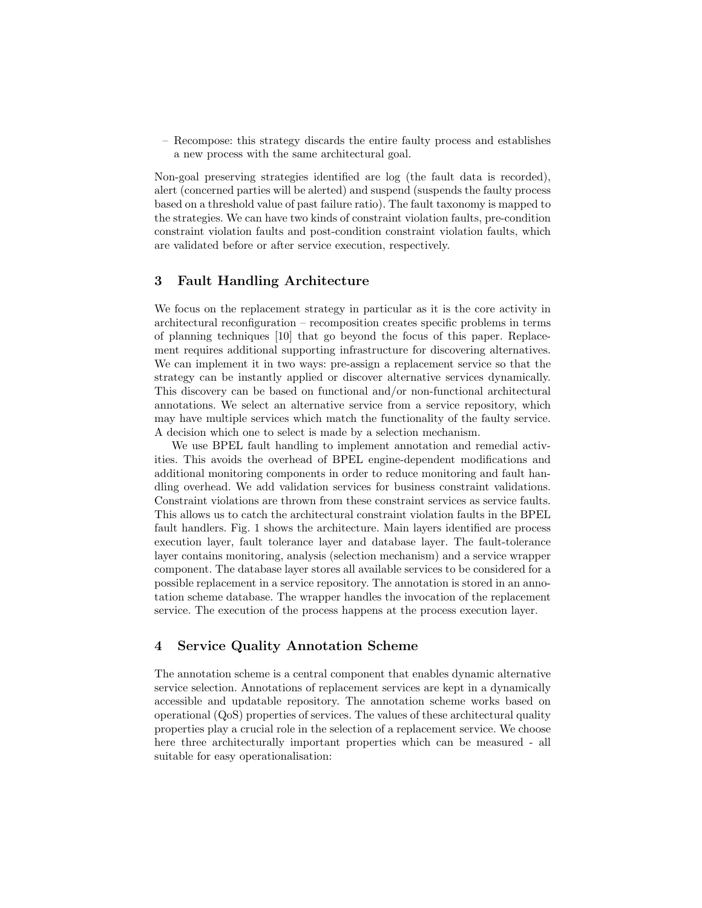– Recompose: this strategy discards the entire faulty process and establishes a new process with the same architectural goal.

Non-goal preserving strategies identified are log (the fault data is recorded), alert (concerned parties will be alerted) and suspend (suspends the faulty process based on a threshold value of past failure ratio). The fault taxonomy is mapped to the strategies. We can have two kinds of constraint violation faults, pre-condition constraint violation faults and post-condition constraint violation faults, which are validated before or after service execution, respectively.

#### 3 Fault Handling Architecture

We focus on the replacement strategy in particular as it is the core activity in architectural reconfiguration – recomposition creates specific problems in terms of planning techniques [10] that go beyond the focus of this paper. Replacement requires additional supporting infrastructure for discovering alternatives. We can implement it in two ways: pre-assign a replacement service so that the strategy can be instantly applied or discover alternative services dynamically. This discovery can be based on functional and/or non-functional architectural annotations. We select an alternative service from a service repository, which may have multiple services which match the functionality of the faulty service. A decision which one to select is made by a selection mechanism.

We use BPEL fault handling to implement annotation and remedial activities. This avoids the overhead of BPEL engine-dependent modifications and additional monitoring components in order to reduce monitoring and fault handling overhead. We add validation services for business constraint validations. Constraint violations are thrown from these constraint services as service faults. This allows us to catch the architectural constraint violation faults in the BPEL fault handlers. Fig. 1 shows the architecture. Main layers identified are process execution layer, fault tolerance layer and database layer. The fault-tolerance layer contains monitoring, analysis (selection mechanism) and a service wrapper component. The database layer stores all available services to be considered for a possible replacement in a service repository. The annotation is stored in an annotation scheme database. The wrapper handles the invocation of the replacement service. The execution of the process happens at the process execution layer.

## 4 Service Quality Annotation Scheme

The annotation scheme is a central component that enables dynamic alternative service selection. Annotations of replacement services are kept in a dynamically accessible and updatable repository. The annotation scheme works based on operational (QoS) properties of services. The values of these architectural quality properties play a crucial role in the selection of a replacement service. We choose here three architecturally important properties which can be measured - all suitable for easy operationalisation: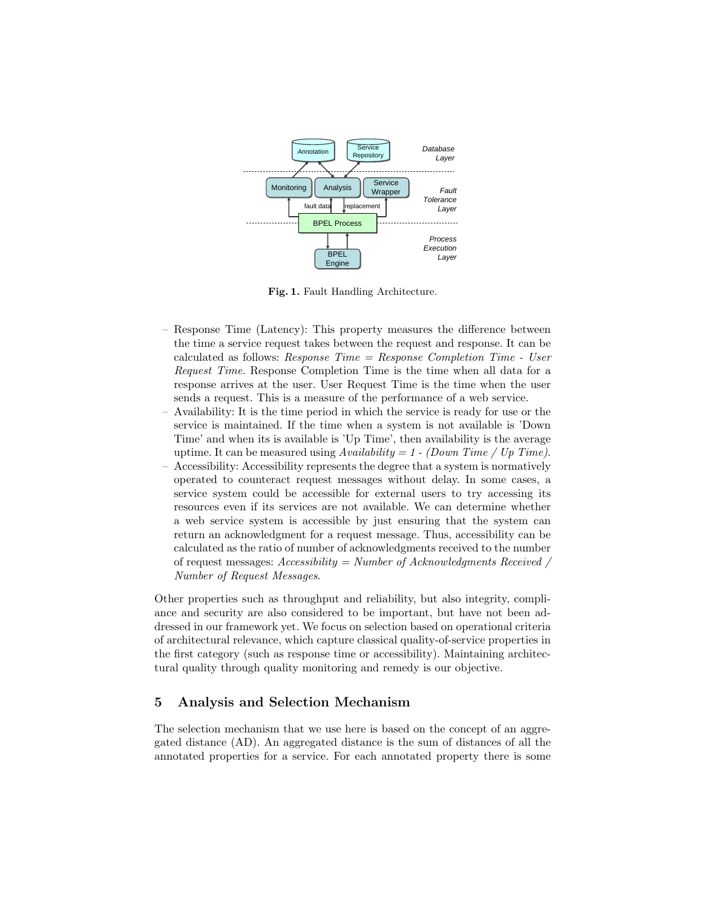

Fig. 1. Fault Handling Architecture.

- Response Time (Latency): This property measures the difference between the time a service request takes between the request and response. It can be calculated as follows: Response Time = Response Completion Time - User Request Time. Response Completion Time is the time when all data for a response arrives at the user. User Request Time is the time when the user sends a request. This is a measure of the performance of a web service.
- Availability: It is the time period in which the service is ready for use or the service is maintained. If the time when a system is not available is 'Down Time' and when its is available is 'Up Time', then availability is the average uptime. It can be measured using  $Availability = 1 - (Down Time / Up Time)$ .
- Accessibility: Accessibility represents the degree that a system is normatively operated to counteract request messages without delay. In some cases, a service system could be accessible for external users to try accessing its resources even if its services are not available. We can determine whether a web service system is accessible by just ensuring that the system can return an acknowledgment for a request message. Thus, accessibility can be calculated as the ratio of number of acknowledgments received to the number of request messages:  $Accessibility = Number of Acknowledgments$  Received / Number of Request Messages.

Other properties such as throughput and reliability, but also integrity, compliance and security are also considered to be important, but have not been addressed in our framework yet. We focus on selection based on operational criteria of architectural relevance, which capture classical quality-of-service properties in the first category (such as response time or accessibility). Maintaining architectural quality through quality monitoring and remedy is our objective.

# 5 Analysis and Selection Mechanism

The selection mechanism that we use here is based on the concept of an aggregated distance (AD). An aggregated distance is the sum of distances of all the annotated properties for a service. For each annotated property there is some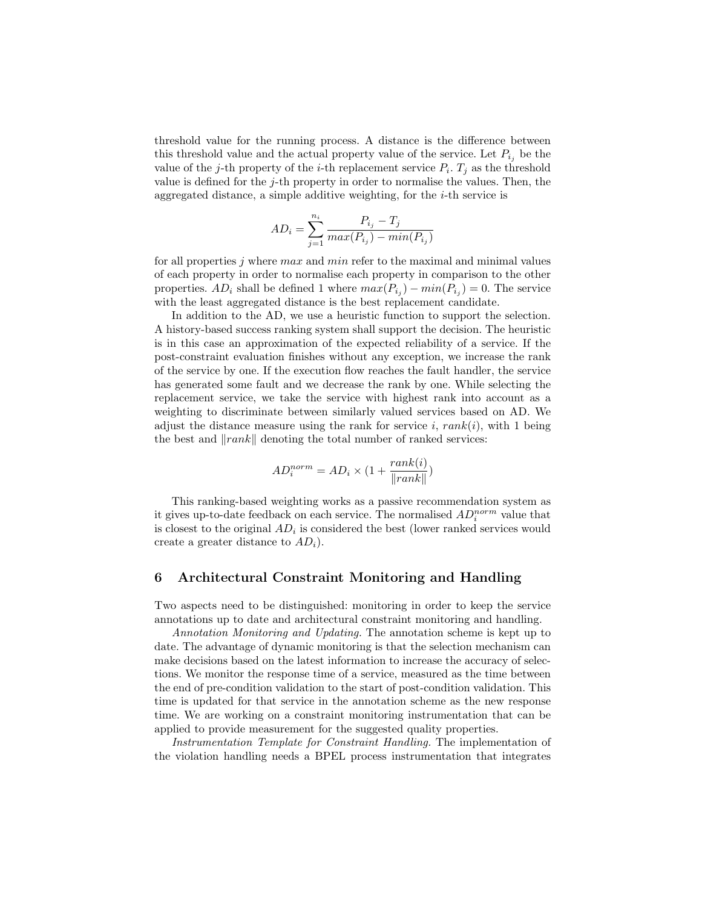threshold value for the running process. A distance is the difference between this threshold value and the actual property value of the service. Let  $P_{i_j}$  be the value of the j-th property of the *i*-th replacement service  $P_i$ .  $T_j$  as the threshold value is defined for the j-th property in order to normalise the values. Then, the aggregated distance, a simple additive weighting, for the  $i$ -th service is

$$
AD_i = \sum_{j=1}^{n_i} \frac{P_{i_j} - T_j}{max(P_{i_j}) - min(P_{i_j})}
$$

for all properties  $j$  where  $max$  and  $min$  refer to the maximal and minimal values of each property in order to normalise each property in comparison to the other properties.  $AD_i$  shall be defined 1 where  $max(P_{i_j}) - min(P_{i_j}) = 0$ . The service with the least aggregated distance is the best replacement candidate.

In addition to the AD, we use a heuristic function to support the selection. A history-based success ranking system shall support the decision. The heuristic is in this case an approximation of the expected reliability of a service. If the post-constraint evaluation finishes without any exception, we increase the rank of the service by one. If the execution flow reaches the fault handler, the service has generated some fault and we decrease the rank by one. While selecting the replacement service, we take the service with highest rank into account as a weighting to discriminate between similarly valued services based on AD. We adjust the distance measure using the rank for service i,  $rank(i)$ , with 1 being the best and  $\|rank\|$  denoting the total number of ranked services:

$$
AD_i^{norm} = AD_i \times (1 + \frac{rank(i)}{\|rank\|})
$$

This ranking-based weighting works as a passive recommendation system as it gives up-to-date feedback on each service. The normalised  $AD_i^{norm}$  value that is closest to the original  $AD_i$  is considered the best (lower ranked services would create a greater distance to  $AD<sub>i</sub>$ ).

## 6 Architectural Constraint Monitoring and Handling

Two aspects need to be distinguished: monitoring in order to keep the service annotations up to date and architectural constraint monitoring and handling.

Annotation Monitoring and Updating. The annotation scheme is kept up to date. The advantage of dynamic monitoring is that the selection mechanism can make decisions based on the latest information to increase the accuracy of selections. We monitor the response time of a service, measured as the time between the end of pre-condition validation to the start of post-condition validation. This time is updated for that service in the annotation scheme as the new response time. We are working on a constraint monitoring instrumentation that can be applied to provide measurement for the suggested quality properties.

Instrumentation Template for Constraint Handling. The implementation of the violation handling needs a BPEL process instrumentation that integrates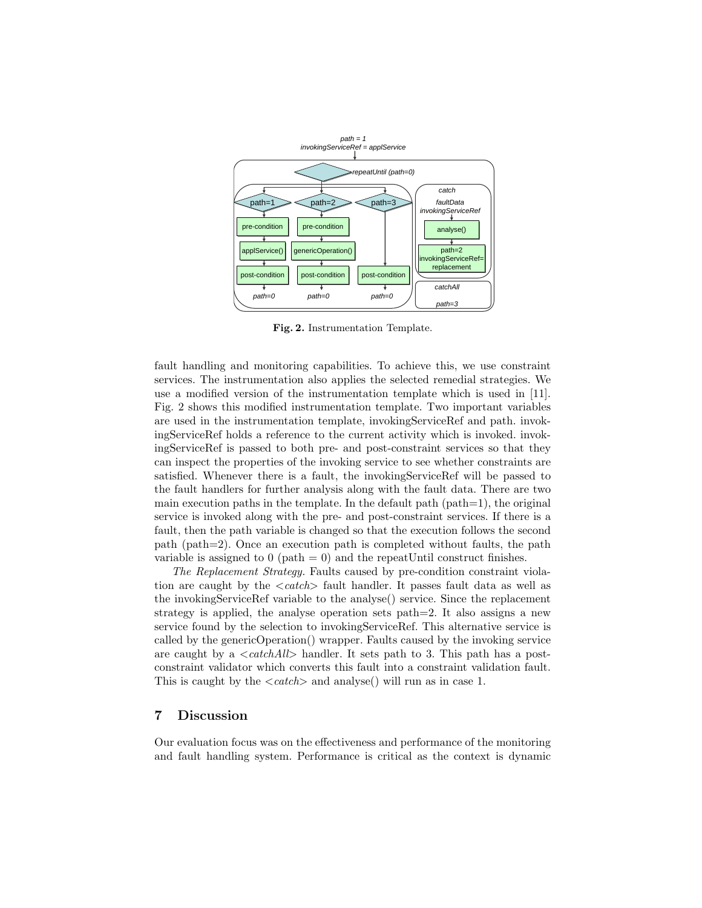

Fig. 2. Instrumentation Template.

fault handling and monitoring capabilities. To achieve this, we use constraint services. The instrumentation also applies the selected remedial strategies. We use a modified version of the instrumentation template which is used in [11]. Fig. 2 shows this modified instrumentation template. Two important variables are used in the instrumentation template, invokingServiceRef and path. invokingServiceRef holds a reference to the current activity which is invoked. invokingServiceRef is passed to both pre- and post-constraint services so that they can inspect the properties of the invoking service to see whether constraints are satisfied. Whenever there is a fault, the invokingServiceRef will be passed to the fault handlers for further analysis along with the fault data. There are two main execution paths in the template. In the default path (path=1), the original service is invoked along with the pre- and post-constraint services. If there is a fault, then the path variable is changed so that the execution follows the second path (path=2). Once an execution path is completed without faults, the path variable is assigned to  $0$  (path  $= 0$ ) and the repeatUntil construct finishes.

The Replacement Strategy. Faults caused by pre-condition constraint violation are caught by the  $\langle\text{catch}\rangle$  fault handler. It passes fault data as well as the invokingServiceRef variable to the analyse() service. Since the replacement strategy is applied, the analyse operation sets path=2. It also assigns a new service found by the selection to invokingServiceRef. This alternative service is called by the genericOperation() wrapper. Faults caused by the invoking service are caught by a  $\langle catch All \rangle$  handler. It sets path to 3. This path has a postconstraint validator which converts this fault into a constraint validation fault. This is caught by the  $\langle \text{catch} \rangle$  and analyse() will run as in case 1.

## 7 Discussion

Our evaluation focus was on the effectiveness and performance of the monitoring and fault handling system. Performance is critical as the context is dynamic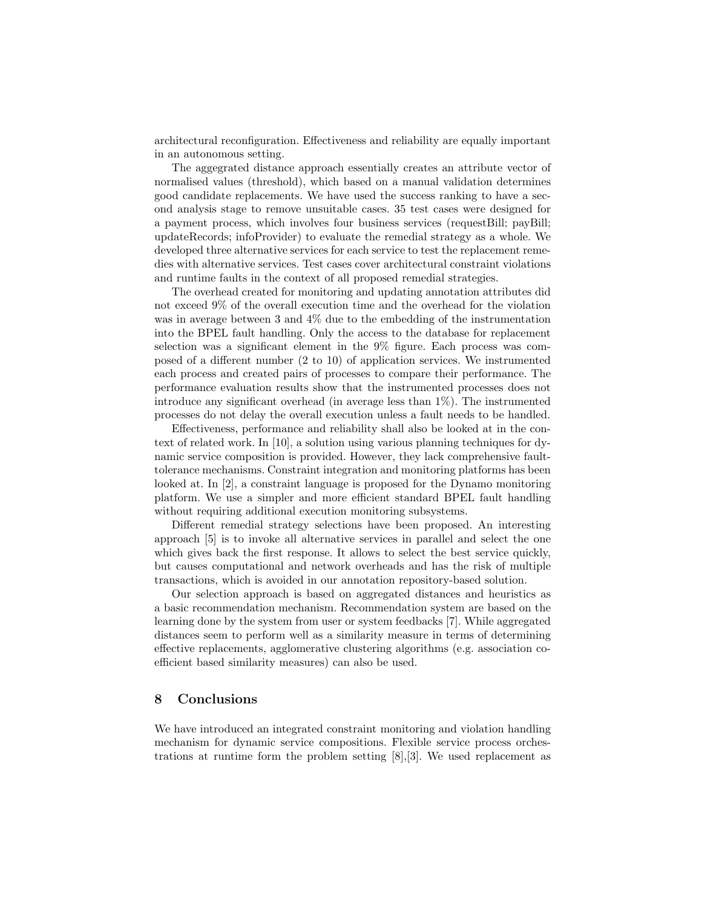architectural reconfiguration. Effectiveness and reliability are equally important in an autonomous setting.

The aggegrated distance approach essentially creates an attribute vector of normalised values (threshold), which based on a manual validation determines good candidate replacements. We have used the success ranking to have a second analysis stage to remove unsuitable cases. 35 test cases were designed for a payment process, which involves four business services (requestBill; payBill; updateRecords; infoProvider) to evaluate the remedial strategy as a whole. We developed three alternative services for each service to test the replacement remedies with alternative services. Test cases cover architectural constraint violations and runtime faults in the context of all proposed remedial strategies.

The overhead created for monitoring and updating annotation attributes did not exceed 9% of the overall execution time and the overhead for the violation was in average between 3 and 4% due to the embedding of the instrumentation into the BPEL fault handling. Only the access to the database for replacement selection was a significant element in the 9% figure. Each process was composed of a different number (2 to 10) of application services. We instrumented each process and created pairs of processes to compare their performance. The performance evaluation results show that the instrumented processes does not introduce any significant overhead (in average less than 1%). The instrumented processes do not delay the overall execution unless a fault needs to be handled.

Effectiveness, performance and reliability shall also be looked at in the context of related work. In [10], a solution using various planning techniques for dynamic service composition is provided. However, they lack comprehensive faulttolerance mechanisms. Constraint integration and monitoring platforms has been looked at. In [2], a constraint language is proposed for the Dynamo monitoring platform. We use a simpler and more efficient standard BPEL fault handling without requiring additional execution monitoring subsystems.

Different remedial strategy selections have been proposed. An interesting approach [5] is to invoke all alternative services in parallel and select the one which gives back the first response. It allows to select the best service quickly, but causes computational and network overheads and has the risk of multiple transactions, which is avoided in our annotation repository-based solution.

Our selection approach is based on aggregated distances and heuristics as a basic recommendation mechanism. Recommendation system are based on the learning done by the system from user or system feedbacks [7]. While aggregated distances seem to perform well as a similarity measure in terms of determining effective replacements, agglomerative clustering algorithms (e.g. association coefficient based similarity measures) can also be used.

#### 8 Conclusions

We have introduced an integrated constraint monitoring and violation handling mechanism for dynamic service compositions. Flexible service process orchestrations at runtime form the problem setting [8],[3]. We used replacement as